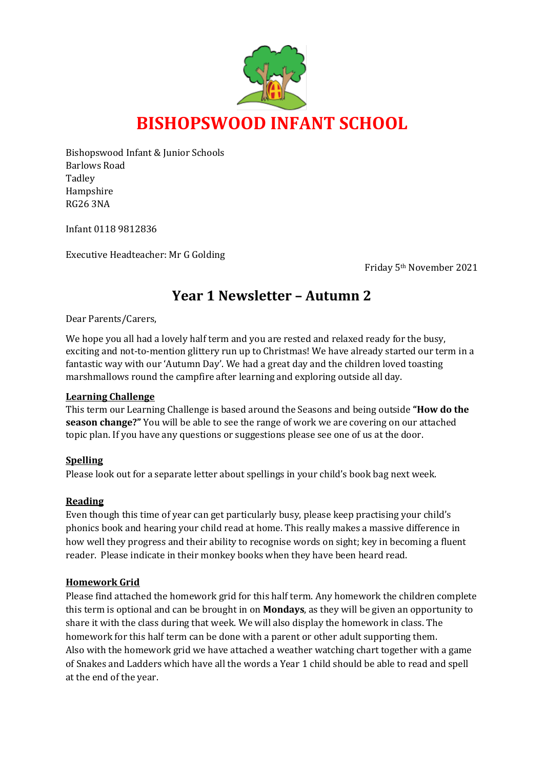

Bishopswood Infant & Junior Schools Barlows Road Tadley Hampshire RG26 3NA

Infant 0118 9812836

Executive Headteacher: Mr G Golding

Friday 5th November 2021

# **Year 1 Newsletter – Autumn 2**

Dear Parents/Carers,

We hope you all had a lovely half term and you are rested and relaxed ready for the busy, exciting and not-to-mention glittery run up to Christmas! We have already started our term in a fantastic way with our 'Autumn Day'. We had a great day and the children loved toasting marshmallows round the campfire after learning and exploring outside all day.

#### **Learning Challenge**

This term our Learning Challenge is based around the Seasons and being outside **"How do the season change?"** You will be able to see the range of work we are covering on our attached topic plan. If you have any questions or suggestions please see one of us at the door.

#### **Spelling**

Please look out for a separate letter about spellings in your child's book bag next week.

#### **Reading**

Even though this time of year can get particularly busy, please keep practising your child's phonics book and hearing your child read at home. This really makes a massive difference in how well they progress and their ability to recognise words on sight; key in becoming a fluent reader. Please indicate in their monkey books when they have been heard read.

#### **Homework Grid**

Please find attached the homework grid for this half term. Any homework the children complete this term is optional and can be brought in on **Mondays**, as they will be given an opportunity to share it with the class during that week. We will also display the homework in class. The homework for this half term can be done with a parent or other adult supporting them. Also with the homework grid we have attached a weather watching chart together with a game of Snakes and Ladders which have all the words a Year 1 child should be able to read and spell at the end of the year.